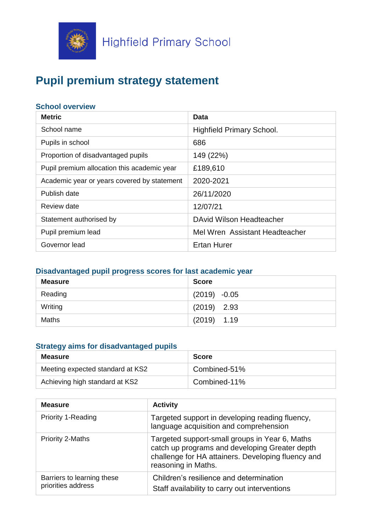

# **Pupil premium strategy statement**

## **School overview**

| <b>Metric</b>                               | Data                             |
|---------------------------------------------|----------------------------------|
| School name                                 | <b>Highfield Primary School.</b> |
| Pupils in school                            | 686                              |
| Proportion of disadvantaged pupils          | 149 (22%)                        |
| Pupil premium allocation this academic year | £189,610                         |
| Academic year or years covered by statement | 2020-2021                        |
| Publish date                                | 26/11/2020                       |
| Review date                                 | 12/07/21                         |
| Statement authorised by                     | DAvid Wilson Headteacher         |
| Pupil premium lead                          | Mel Wren Assistant Headteacher   |
| Governor lead                               | <b>Ertan Hurer</b>               |

# **Disadvantaged pupil progress scores for last academic year**

| <b>Measure</b> | <b>Score</b>   |
|----------------|----------------|
| Reading        | $(2019) -0.05$ |
| Writing        | $(2019)$ 2.93  |
| Maths          | $(2019)$ 1.19  |

## **Strategy aims for disadvantaged pupils**

| <b>Measure</b>                   | <b>Score</b> |
|----------------------------------|--------------|
| Meeting expected standard at KS2 | Combined-51% |
| Achieving high standard at KS2   | Combined-11% |

| <b>Measure</b>                                   | <b>Activity</b>                                                                                                                                                               |  |
|--------------------------------------------------|-------------------------------------------------------------------------------------------------------------------------------------------------------------------------------|--|
| <b>Priority 1-Reading</b>                        | Targeted support in developing reading fluency,<br>language acquisition and comprehension                                                                                     |  |
| <b>Priority 2-Maths</b>                          | Targeted support-small groups in Year 6, Maths<br>catch up programs and developing Greater depth<br>challenge for HA attainers. Developing fluency and<br>reasoning in Maths. |  |
| Barriers to learning these<br>priorities address | Children's resilience and determination<br>Staff availability to carry out interventions                                                                                      |  |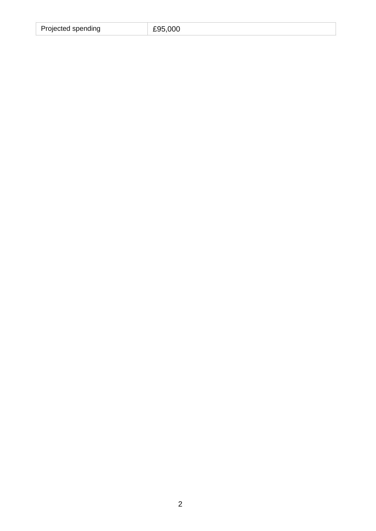| Projected spending | £95,000 |
|--------------------|---------|
|                    |         |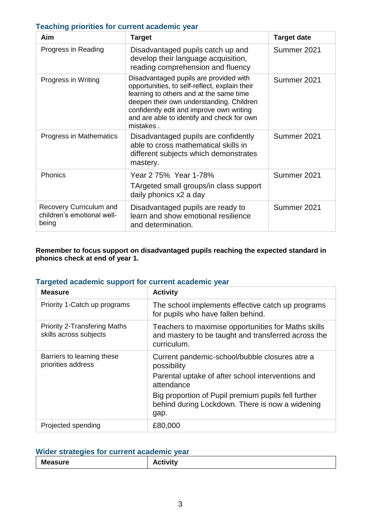## **Teaching priorities for current academic year**

| Aim                                                            | <b>Target</b>                                                                                                                                                                                                                                                                         | <b>Target date</b> |
|----------------------------------------------------------------|---------------------------------------------------------------------------------------------------------------------------------------------------------------------------------------------------------------------------------------------------------------------------------------|--------------------|
| Progress in Reading                                            | Disadvantaged pupils catch up and<br>develop their language acquisition,<br>reading comprehension and fluency                                                                                                                                                                         | Summer 2021        |
| Progress in Writing                                            | Disadvantaged pupils are provided with<br>opportunities, to self-reflect, explain their<br>learning to others and at the same time<br>deepen their own understanding. Children<br>confidently edit and improve own writing<br>and are able to identify and check for own<br>mistakes. | Summer 2021        |
| Progress in Mathematics                                        | Disadvantaged pupils are confidently<br>able to cross mathematical skills in<br>different subjects which demonstrates<br>mastery.                                                                                                                                                     | Summer 2021        |
| Phonics                                                        | Year 2 75% Year 1-78%<br>TArgeted small groups/in class support<br>daily phonics x2 a day                                                                                                                                                                                             | Summer 2021        |
| Recovery Curriculum and<br>children's emotional well-<br>being | Disadvantaged pupils are ready to<br>learn and show emotional resilience<br>and determination.                                                                                                                                                                                        | Summer 2021        |

#### **Remember to focus support on disadvantaged pupils reaching the expected standard in phonics check at end of year 1.**

## **Targeted academic support for current academic year**

| <b>Measure</b>                                                | <b>Activity</b>                                                                                                                                                                                                                            |
|---------------------------------------------------------------|--------------------------------------------------------------------------------------------------------------------------------------------------------------------------------------------------------------------------------------------|
| Priority 1-Catch up programs                                  | The school implements effective catch up programs<br>for pupils who have fallen behind.                                                                                                                                                    |
| <b>Priority 2-Transfering Maths</b><br>skills across subjects | Teachers to maximise opportunities for Maths skills<br>and mastery to be taught and transferred across the<br>curriculum.                                                                                                                  |
| Barriers to learning these<br>priorities address              | Current pandemic-school/bubble closures atre a<br>possibility<br>Parental uptake of after school interventions and<br>attendance<br>Big proportion of Pupil premium pupils fell further<br>behind during Lockdown. There is now a widening |
| Projected spending                                            | gap.<br>£80,000                                                                                                                                                                                                                            |

## **Wider strategies for current academic year**

| <b>Measure</b> | <b>ctivity</b> |
|----------------|----------------|
|----------------|----------------|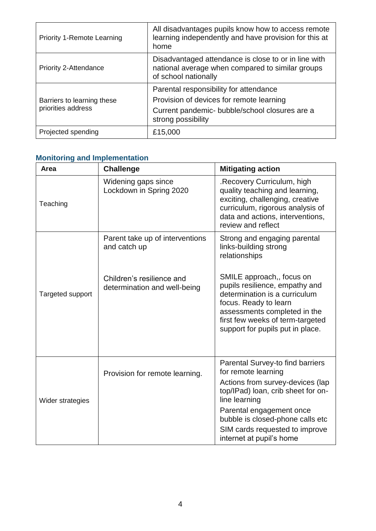| <b>Priority 1-Remote Learning</b>                | All disadvantages pupils know how to access remote<br>learning independently and have provision for this at<br>home                                        |
|--------------------------------------------------|------------------------------------------------------------------------------------------------------------------------------------------------------------|
| Priority 2-Attendance                            | Disadvantaged attendance is close to or in line with<br>national average when compared to similar groups<br>of school nationally                           |
| Barriers to learning these<br>priorities address | Parental responsibility for attendance<br>Provision of devices for remote learning<br>Current pandemic- bubble/school closures are a<br>strong possibility |
| Projected spending                               | £15,000                                                                                                                                                    |

## **Monitoring and Implementation**

| Area                           | <b>Challenge</b>                                          | <b>Mitigating action</b>                                                                                                                                                                                                      |
|--------------------------------|-----------------------------------------------------------|-------------------------------------------------------------------------------------------------------------------------------------------------------------------------------------------------------------------------------|
| Teaching                       | Widening gaps since<br>Lockdown in Spring 2020            | .Recovery Curriculum, high<br>quality teaching and learning,<br>exciting, challenging, creative<br>curriculum, rigorous analysis of<br>data and actions, interventions,<br>review and reflect                                 |
|                                | Parent take up of interventions<br>and catch up           | Strong and engaging parental<br>links-building strong<br>relationships                                                                                                                                                        |
| Targeted support               | Children's resilience and<br>determination and well-being | SMILE approach,, focus on<br>pupils resilience, empathy and<br>determination is a curriculum<br>focus. Ready to learn<br>assessments completed in the<br>first few weeks of term-targeted<br>support for pupils put in place. |
| Provision for remote learning. |                                                           | Parental Survey-to find barriers<br>for remote learning                                                                                                                                                                       |
| Wider strategies               |                                                           | Actions from survey-devices (lap<br>top/IPad) loan, crib sheet for on-<br>line learning                                                                                                                                       |
|                                |                                                           | Parental engagement once<br>bubble is closed-phone calls etc                                                                                                                                                                  |
|                                |                                                           | SIM cards requested to improve<br>internet at pupil's home                                                                                                                                                                    |